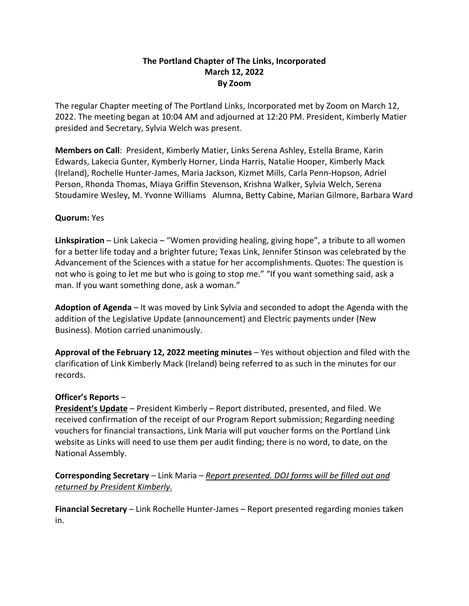## **The Portland Chapter of The Links, Incorporated March 12, 2022 By Zoom**

The regular Chapter meeting of The Portland Links, Incorporated met by Zoom on March 12, 2022. The meeting began at 10:04 AM and adjourned at 12:20 PM. President, Kimberly Matier presided and Secretary, Sylvia Welch was present.

**Members on Call**: President, Kimberly Matier, Links Serena Ashley, Estella Brame, Karin Edwards, Lakecia Gunter, Kymberly Horner, Linda Harris, Natalie Hooper, Kimberly Mack (Ireland), Rochelle Hunter-James, Maria Jackson, Kizmet Mills, Carla Penn-Hopson, Adriel Person, Rhonda Thomas, Miaya Griffin Stevenson, Krishna Walker, Sylvia Welch, Serena Stoudamire Wesley, M. Yvonne Williams Alumna, Betty Cabine, Marian Gilmore, Barbara Ward

## **Quorum:** Yes

**Linkspiration** – Link Lakecia – "Women providing healing, giving hope", a tribute to all women for a better life today and a brighter future; Texas Link, Jennifer Stinson was celebrated by the Advancement of the Sciences with a statue for her accomplishments. Quotes: The question is not who is going to let me but who is going to stop me." "If you want something said, ask a man. If you want something done, ask a woman."

**Adoption of Agenda** – It was moved by Link Sylvia and seconded to adopt the Agenda with the addition of the Legislative Update (announcement) and Electric payments under (New Business). Motion carried unanimously.

**Approval of the February 12, 2022 meeting minutes** – Yes without objection and filed with the clarification of Link Kimberly Mack (Ireland) being referred to as such in the minutes for our records.

## **Officer's Reports** –

**President's Update** – President Kimberly – Report distributed, presented, and filed. We received confirmation of the receipt of our Program Report submission; Regarding needing vouchers for financial transactions, Link Maria will put voucher forms on the Portland Link website as Links will need to use them per audit finding; there is no word, to date, on the National Assembly.

**Corresponding Secretary** – Link Maria – *Report presented. DOJ forms will be filled out and returned by President Kimberly.*

**Financial Secretary** – Link Rochelle Hunter-James – Report presented regarding monies taken in.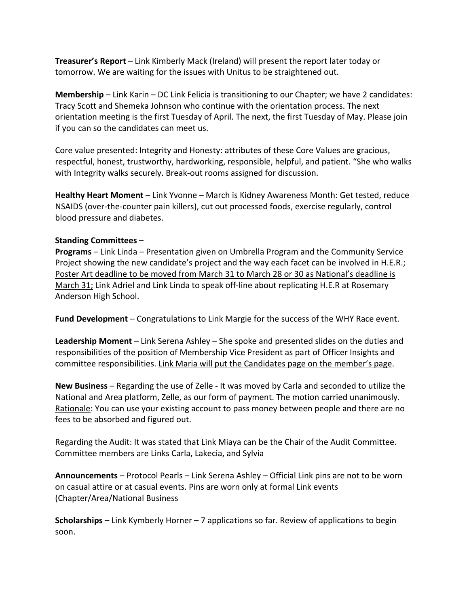**Treasurer's Report** – Link Kimberly Mack (Ireland) will present the report later today or tomorrow. We are waiting for the issues with Unitus to be straightened out.

**Membership** – Link Karin – DC Link Felicia is transitioning to our Chapter; we have 2 candidates: Tracy Scott and Shemeka Johnson who continue with the orientation process. The next orientation meeting is the first Tuesday of April. The next, the first Tuesday of May. Please join if you can so the candidates can meet us.

Core value presented: Integrity and Honesty: attributes of these Core Values are gracious, respectful, honest, trustworthy, hardworking, responsible, helpful, and patient. "She who walks with Integrity walks securely. Break-out rooms assigned for discussion.

**Healthy Heart Moment** – Link Yvonne – March is Kidney Awareness Month: Get tested, reduce NSAIDS (over-the-counter pain killers), cut out processed foods, exercise regularly, control blood pressure and diabetes.

## **Standing Committees** –

**Programs** – Link Linda – Presentation given on Umbrella Program and the Community Service Project showing the new candidate's project and the way each facet can be involved in H.E.R.; Poster Art deadline to be moved from March 31 to March 28 or 30 as National's deadline is March 31; Link Adriel and Link Linda to speak off-line about replicating H.E.R at Rosemary Anderson High School.

**Fund Development** – Congratulations to Link Margie for the success of the WHY Race event.

**Leadership Moment** – Link Serena Ashley – She spoke and presented slides on the duties and responsibilities of the position of Membership Vice President as part of Officer Insights and committee responsibilities. Link Maria will put the Candidates page on the member's page.

**New Business** – Regarding the use of Zelle - It was moved by Carla and seconded to utilize the National and Area platform, Zelle, as our form of payment. The motion carried unanimously. Rationale: You can use your existing account to pass money between people and there are no fees to be absorbed and figured out.

Regarding the Audit: It was stated that Link Miaya can be the Chair of the Audit Committee. Committee members are Links Carla, Lakecia, and Sylvia

**Announcements** – Protocol Pearls – Link Serena Ashley – Official Link pins are not to be worn on casual attire or at casual events. Pins are worn only at formal Link events (Chapter/Area/National Business

**Scholarships** – Link Kymberly Horner – 7 applications so far. Review of applications to begin soon.